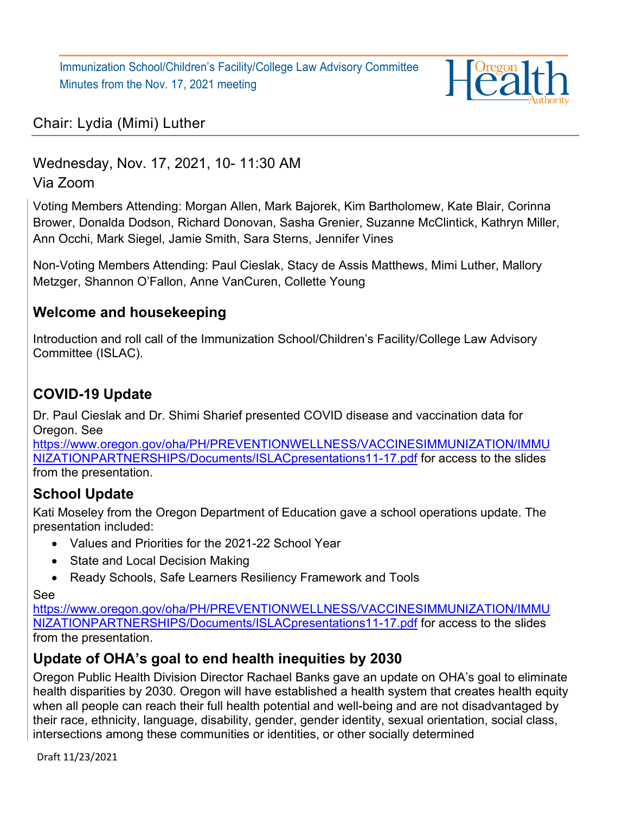Immunization School/Children's Facility/College Law Advisory Committee Minutes from the Nov. 17, 2021 meeting



# Chair: Lydia (Mimi) Luther

Wednesday, Nov. 17, 2021, 10- 11:30 AM Via Zoom

Voting Members Attending: Morgan Allen, Mark Bajorek, Kim Bartholomew, Kate Blair, Corinna Brower, Donalda Dodson, Richard Donovan, Sasha Grenier, Suzanne McClintick, Kathryn Miller, Ann Occhi, Mark Siegel, Jamie Smith, Sara Sterns, Jennifer Vines

Non-Voting Members Attending: Paul Cieslak, Stacy de Assis Matthews, Mimi Luther, Mallory Metzger, Shannon O'Fallon, Anne VanCuren, Collette Young

#### **Welcome and housekeeping**

Introduction and roll call of the Immunization School/Children's Facility/College Law Advisory Committee (ISLAC).

# **COVID-19 Update**

Dr. Paul Cieslak and Dr. Shimi Sharief presented COVID disease and vaccination data for Oregon. See

[https://www.oregon.gov/oha/PH/PREVENTIONWELLNESS/VACCINESIMMUNIZATION/IMMU](https://www.oregon.gov/oha/PH/PREVENTIONWELLNESS/VACCINESIMMUNIZATION/IMMUNIZATIONPARTNERSHIPS/Documents/ISLACpresentations11-17.pdf) [NIZATIONPARTNERSHIPS/Documents/ISLACpresentations11-17.pdf](https://www.oregon.gov/oha/PH/PREVENTIONWELLNESS/VACCINESIMMUNIZATION/IMMUNIZATIONPARTNERSHIPS/Documents/ISLACpresentations11-17.pdf) for access to the slides from the presentation.

# **School Update**

Kati Moseley from the Oregon Department of Education gave a school operations update. The presentation included:

- Values and Priorities for the 2021-22 School Year
- State and Local Decision Making
- Ready Schools, Safe Learners Resiliency Framework and Tools

See

[https://www.oregon.gov/oha/PH/PREVENTIONWELLNESS/VACCINESIMMUNIZATION/IMMU](https://www.oregon.gov/oha/PH/PREVENTIONWELLNESS/VACCINESIMMUNIZATION/IMMUNIZATIONPARTNERSHIPS/Documents/ISLACpresentations11-17.pdf) [NIZATIONPARTNERSHIPS/Documents/ISLACpresentations11-17.pdf](https://www.oregon.gov/oha/PH/PREVENTIONWELLNESS/VACCINESIMMUNIZATION/IMMUNIZATIONPARTNERSHIPS/Documents/ISLACpresentations11-17.pdf) for access to the slides from the presentation.

# **Update of OHA's goal to end health inequities by 2030**

Oregon Public Health Division Director Rachael Banks gave an update on OHA's goal to eliminate health disparities by 2030. Oregon will have established a health system that creates health equity when all people can reach their full health potential and well-being and are not disadvantaged by their race, ethnicity, language, disability, gender, gender identity, sexual orientation, social class, intersections among these communities or identities, or other socially determined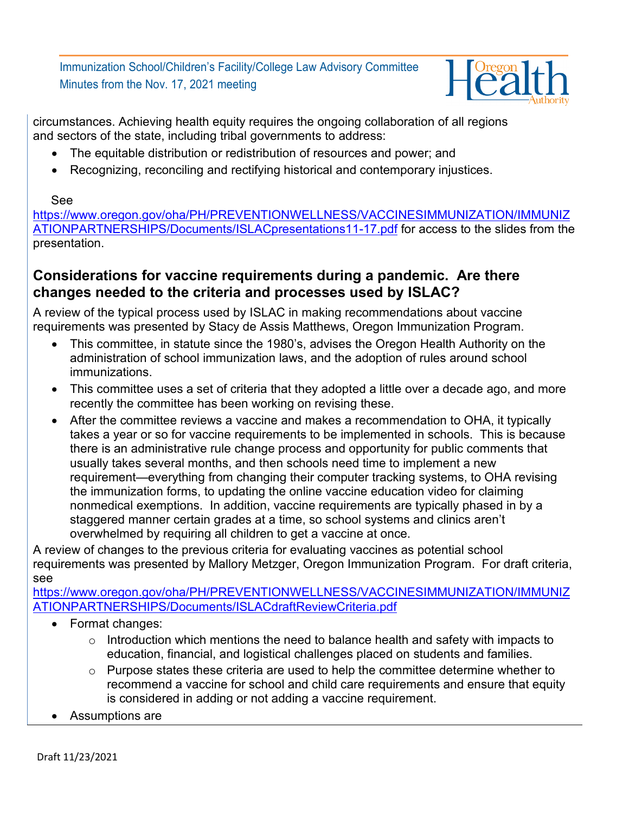Immunization School/Children's Facility/College Law Advisory Committee Minutes from the Nov. 17, 2021 meeting



circumstances. Achieving health equity requires the ongoing collaboration of all regions and sectors of the state, including tribal governments to address:

- The equitable distribution or redistribution of resources and power; and
- Recognizing, reconciling and rectifying historical and contemporary injustices.

#### See

[https://www.oregon.gov/oha/PH/PREVENTIONWELLNESS/VACCINESIMMUNIZATION/IMMUNIZ](https://www.oregon.gov/oha/PH/PREVENTIONWELLNESS/VACCINESIMMUNIZATION/IMMUNIZATIONPARTNERSHIPS/Documents/ISLACpresentations11-17.pdf) [ATIONPARTNERSHIPS/Documents/ISLACpresentations11-17.pdf](https://www.oregon.gov/oha/PH/PREVENTIONWELLNESS/VACCINESIMMUNIZATION/IMMUNIZATIONPARTNERSHIPS/Documents/ISLACpresentations11-17.pdf) for access to the slides from the presentation.

#### **Considerations for vaccine requirements during a pandemic. Are there changes needed to the criteria and processes used by ISLAC?**

A review of the typical process used by ISLAC in making recommendations about vaccine requirements was presented by Stacy de Assis Matthews, Oregon Immunization Program.

- This committee, in statute since the 1980's, advises the Oregon Health Authority on the administration of school immunization laws, and the adoption of rules around school immunizations.
- This committee uses a set of criteria that they adopted a little over a decade ago, and more recently the committee has been working on revising these.
- After the committee reviews a vaccine and makes a recommendation to OHA, it typically takes a year or so for vaccine requirements to be implemented in schools. This is because there is an administrative rule change process and opportunity for public comments that usually takes several months, and then schools need time to implement a new requirement—everything from changing their computer tracking systems, to OHA revising the immunization forms, to updating the online vaccine education video for claiming nonmedical exemptions. In addition, vaccine requirements are typically phased in by a staggered manner certain grades at a time, so school systems and clinics aren't overwhelmed by requiring all children to get a vaccine at once.

A review of changes to the previous criteria for evaluating vaccines as potential school requirements was presented by Mallory Metzger, Oregon Immunization Program. For draft criteria, see

[https://www.oregon.gov/oha/PH/PREVENTIONWELLNESS/VACCINESIMMUNIZATION/IMMUNIZ](https://www.oregon.gov/oha/PH/PREVENTIONWELLNESS/VACCINESIMMUNIZATION/IMMUNIZATIONPARTNERSHIPS/Documents/ISLACdraftReviewCriteria.pdf) [ATIONPARTNERSHIPS/Documents/ISLACdraftReviewCriteria.pdf](https://www.oregon.gov/oha/PH/PREVENTIONWELLNESS/VACCINESIMMUNIZATION/IMMUNIZATIONPARTNERSHIPS/Documents/ISLACdraftReviewCriteria.pdf)

- Format changes:
	- $\circ$  Introduction which mentions the need to balance health and safety with impacts to education, financial, and logistical challenges placed on students and families.
	- o Purpose states these criteria are used to help the committee determine whether to recommend a vaccine for school and child care requirements and ensure that equity is considered in adding or not adding a vaccine requirement.
- Assumptions are